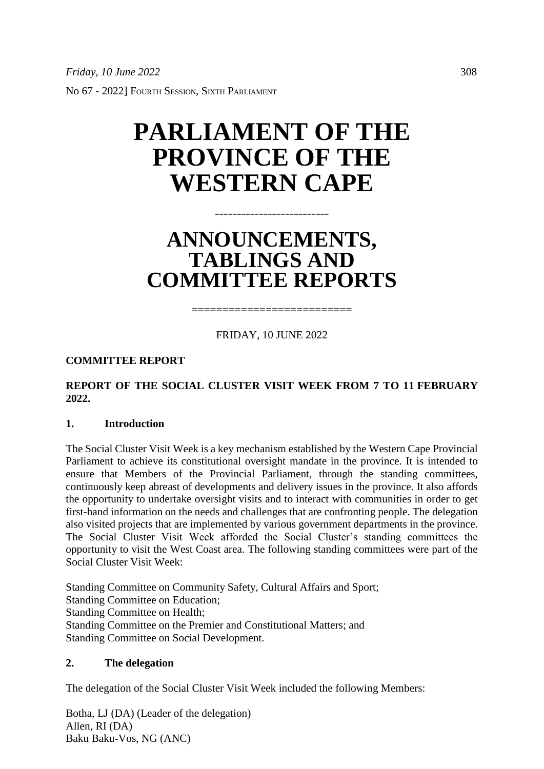# **PARLIAMENT OF THE PROVINCE OF THE WESTERN CAPE**

## **ANNOUNCEMENTS, TABLINGS AND COMMITTEE REPORTS**

==========================

FRIDAY, 10 JUNE 2022

==========================

**COMMITTEE REPORT**

## **REPORT OF THE SOCIAL CLUSTER VISIT WEEK FROM 7 TO 11 FEBRUARY 2022.**

## **1. Introduction**

The Social Cluster Visit Week is a key mechanism established by the Western Cape Provincial Parliament to achieve its constitutional oversight mandate in the province. It is intended to ensure that Members of the Provincial Parliament, through the standing committees, continuously keep abreast of developments and delivery issues in the province. It also affords the opportunity to undertake oversight visits and to interact with communities in order to get first-hand information on the needs and challenges that are confronting people. The delegation also visited projects that are implemented by various government departments in the province. The Social Cluster Visit Week afforded the Social Cluster's standing committees the opportunity to visit the West Coast area. The following standing committees were part of the Social Cluster Visit Week:

Standing Committee on Community Safety, Cultural Affairs and Sport; Standing Committee on Education; Standing Committee on Health; Standing Committee on the Premier and Constitutional Matters; and Standing Committee on Social Development.

## **2. The delegation**

The delegation of the Social Cluster Visit Week included the following Members:

Botha, LJ (DA) (Leader of the delegation) Allen, RI (DA) Baku Baku-Vos, NG (ANC)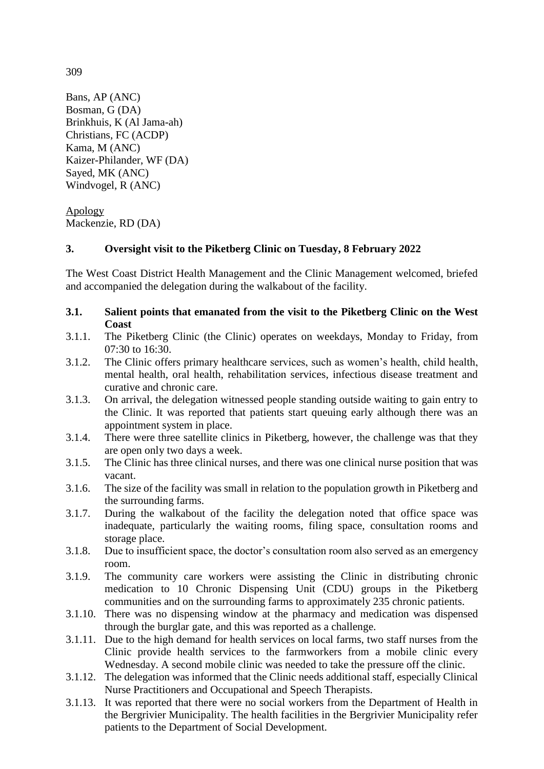Bans, AP (ANC) Bosman, G (DA) Brinkhuis, K (Al Jama-ah) Christians, FC (ACDP) Kama, M (ANC) Kaizer-Philander, WF (DA)

Sayed, MK (ANC) Windvogel, R (ANC)

Apology Mackenzie, RD (DA)

## **3. Oversight visit to the Piketberg Clinic on Tuesday, 8 February 2022**

The West Coast District Health Management and the Clinic Management welcomed, briefed and accompanied the delegation during the walkabout of the facility.

- **3.1. Salient points that emanated from the visit to the Piketberg Clinic on the West Coast**
- 3.1.1. The Piketberg Clinic (the Clinic) operates on weekdays, Monday to Friday, from  $07:30$  to  $16:30$ .
- 3.1.2. The Clinic offers primary healthcare services, such as women's health, child health, mental health, oral health, rehabilitation services, infectious disease treatment and curative and chronic care.
- 3.1.3. On arrival, the delegation witnessed people standing outside waiting to gain entry to the Clinic. It was reported that patients start queuing early although there was an appointment system in place.
- 3.1.4. There were three satellite clinics in Piketberg, however, the challenge was that they are open only two days a week.
- 3.1.5. The Clinic has three clinical nurses, and there was one clinical nurse position that was vacant.
- 3.1.6. The size of the facility was small in relation to the population growth in Piketberg and the surrounding farms.
- 3.1.7. During the walkabout of the facility the delegation noted that office space was inadequate, particularly the waiting rooms, filing space, consultation rooms and storage place.
- 3.1.8. Due to insufficient space, the doctor's consultation room also served as an emergency room.
- 3.1.9. The community care workers were assisting the Clinic in distributing chronic medication to 10 Chronic Dispensing Unit (CDU) groups in the Piketberg communities and on the surrounding farms to approximately 235 chronic patients.
- 3.1.10. There was no dispensing window at the pharmacy and medication was dispensed through the burglar gate, and this was reported as a challenge.
- 3.1.11. Due to the high demand for health services on local farms, two staff nurses from the Clinic provide health services to the farmworkers from a mobile clinic every Wednesday. A second mobile clinic was needed to take the pressure off the clinic.
- 3.1.12. The delegation was informed that the Clinic needs additional staff, especially Clinical Nurse Practitioners and Occupational and Speech Therapists.
- 3.1.13. It was reported that there were no social workers from the Department of Health in the Bergrivier Municipality. The health facilities in the Bergrivier Municipality refer patients to the Department of Social Development.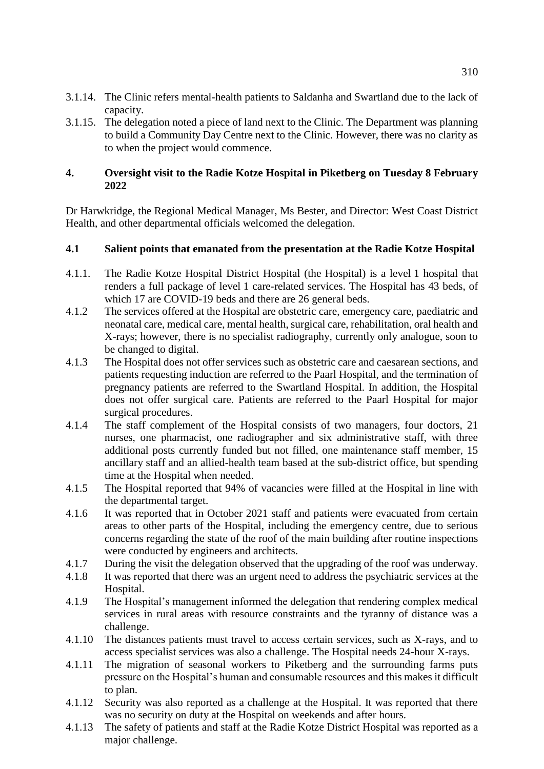- 3.1.14. The Clinic refers mental-health patients to Saldanha and Swartland due to the lack of capacity.
- 3.1.15. The delegation noted a piece of land next to the Clinic. The Department was planning to build a Community Day Centre next to the Clinic. However, there was no clarity as to when the project would commence.

#### **4. Oversight visit to the Radie Kotze Hospital in Piketberg on Tuesday 8 February 2022**

Dr Harwkridge, the Regional Medical Manager, Ms Bester, and Director: West Coast District Health, and other departmental officials welcomed the delegation.

## **4.1 Salient points that emanated from the presentation at the Radie Kotze Hospital**

- 4.1.1. The Radie Kotze Hospital District Hospital (the Hospital) is a level 1 hospital that renders a full package of level 1 care-related services. The Hospital has 43 beds, of which 17 are COVID-19 beds and there are 26 general beds.
- 4.1.2 The services offered at the Hospital are obstetric care, emergency care, paediatric and neonatal care, medical care, mental health, surgical care, rehabilitation, oral health and X-rays; however, there is no specialist radiography, currently only analogue, soon to be changed to digital.
- 4.1.3 The Hospital does not offer services such as obstetric care and caesarean sections, and patients requesting induction are referred to the Paarl Hospital, and the termination of pregnancy patients are referred to the Swartland Hospital. In addition, the Hospital does not offer surgical care. Patients are referred to the Paarl Hospital for major surgical procedures.
- 4.1.4 The staff complement of the Hospital consists of two managers, four doctors, 21 nurses, one pharmacist, one radiographer and six administrative staff, with three additional posts currently funded but not filled, one maintenance staff member, 15 ancillary staff and an allied-health team based at the sub-district office, but spending time at the Hospital when needed.
- 4.1.5 The Hospital reported that 94% of vacancies were filled at the Hospital in line with the departmental target.
- 4.1.6 It was reported that in October 2021 staff and patients were evacuated from certain areas to other parts of the Hospital, including the emergency centre, due to serious concerns regarding the state of the roof of the main building after routine inspections were conducted by engineers and architects.
- 4.1.7 During the visit the delegation observed that the upgrading of the roof was underway.
- 4.1.8 It was reported that there was an urgent need to address the psychiatric services at the Hospital.
- 4.1.9 The Hospital's management informed the delegation that rendering complex medical services in rural areas with resource constraints and the tyranny of distance was a challenge.
- 4.1.10 The distances patients must travel to access certain services, such as X-rays, and to access specialist services was also a challenge. The Hospital needs 24-hour X-rays.
- 4.1.11 The migration of seasonal workers to Piketberg and the surrounding farms puts pressure on the Hospital's human and consumable resources and this makes it difficult to plan.
- 4.1.12 Security was also reported as a challenge at the Hospital. It was reported that there was no security on duty at the Hospital on weekends and after hours.
- 4.1.13 The safety of patients and staff at the Radie Kotze District Hospital was reported as a major challenge.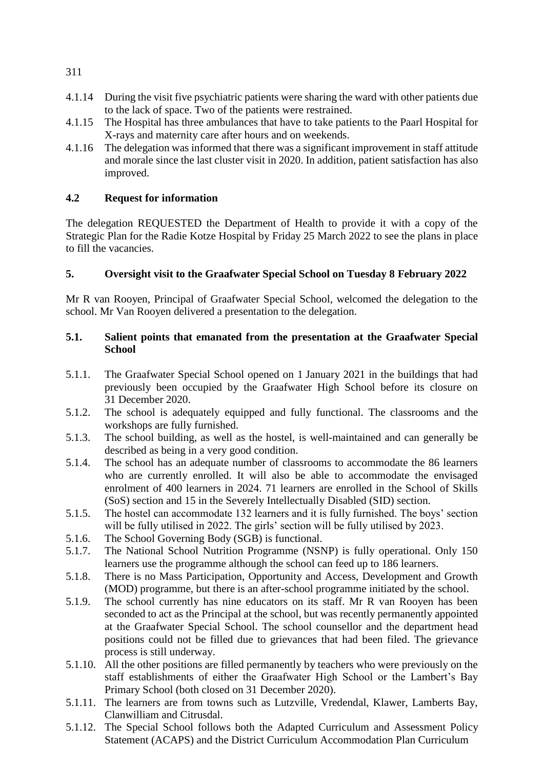- 4.1.14 During the visit five psychiatric patients were sharing the ward with other patients due to the lack of space. Two of the patients were restrained.
- 4.1.15 The Hospital has three ambulances that have to take patients to the Paarl Hospital for X-rays and maternity care after hours and on weekends.
- 4.1.16 The delegation was informed that there was a significant improvement in staff attitude and morale since the last cluster visit in 2020. In addition, patient satisfaction has also improved.

## **4.2 Request for information**

The delegation REQUESTED the Department of Health to provide it with a copy of the Strategic Plan for the Radie Kotze Hospital by Friday 25 March 2022 to see the plans in place to fill the vacancies.

## **5. Oversight visit to the Graafwater Special School on Tuesday 8 February 2022**

Mr R van Rooyen, Principal of Graafwater Special School, welcomed the delegation to the school. Mr Van Rooyen delivered a presentation to the delegation.

## **5.1. Salient points that emanated from the presentation at the Graafwater Special School**

- 5.1.1. The Graafwater Special School opened on 1 January 2021 in the buildings that had previously been occupied by the Graafwater High School before its closure on 31 December 2020.
- 5.1.2. The school is adequately equipped and fully functional. The classrooms and the workshops are fully furnished.
- 5.1.3. The school building, as well as the hostel, is well-maintained and can generally be described as being in a very good condition.
- 5.1.4. The school has an adequate number of classrooms to accommodate the 86 learners who are currently enrolled. It will also be able to accommodate the envisaged enrolment of 400 learners in 2024. 71 learners are enrolled in the School of Skills (SoS) section and 15 in the Severely Intellectually Disabled (SID) section.
- 5.1.5. The hostel can accommodate 132 learners and it is fully furnished. The boys' section will be fully utilised in 2022. The girls' section will be fully utilised by 2023.
- 5.1.6. The School Governing Body (SGB) is functional.
- 5.1.7. The National School Nutrition Programme (NSNP) is fully operational. Only 150 learners use the programme although the school can feed up to 186 learners.
- 5.1.8. There is no Mass Participation, Opportunity and Access, Development and Growth (MOD) programme, but there is an after-school programme initiated by the school.
- 5.1.9. The school currently has nine educators on its staff. Mr R van Rooyen has been seconded to act as the Principal at the school, but was recently permanently appointed at the Graafwater Special School. The school counsellor and the department head positions could not be filled due to grievances that had been filed. The grievance process is still underway.
- 5.1.10. All the other positions are filled permanently by teachers who were previously on the staff establishments of either the Graafwater High School or the Lambert's Bay Primary School (both closed on 31 December 2020).
- 5.1.11. The learners are from towns such as Lutzville, Vredendal, Klawer, Lamberts Bay, Clanwilliam and Citrusdal.
- 5.1.12. The Special School follows both the Adapted Curriculum and Assessment Policy Statement (ACAPS) and the District Curriculum Accommodation Plan Curriculum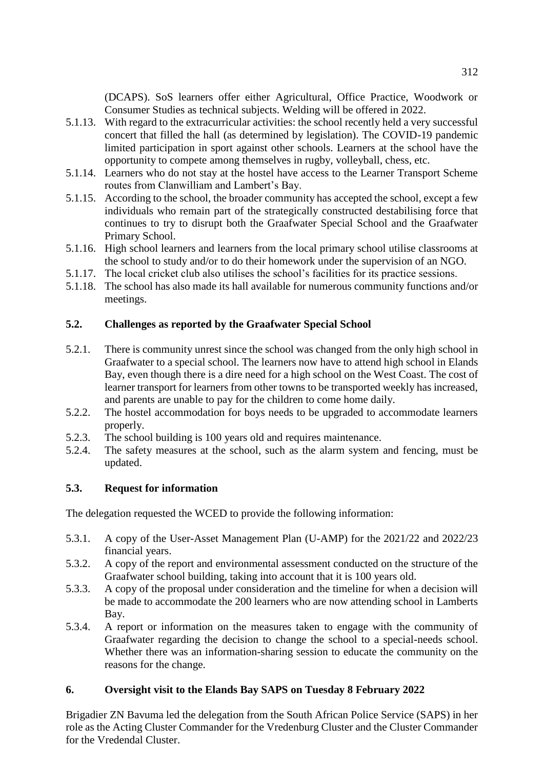(DCAPS). SoS learners offer either Agricultural, Office Practice, Woodwork or Consumer Studies as technical subjects. Welding will be offered in 2022.

- 5.1.13. With regard to the extracurricular activities: the school recently held a very successful concert that filled the hall (as determined by legislation). The COVID-19 pandemic limited participation in sport against other schools. Learners at the school have the opportunity to compete among themselves in rugby, volleyball, chess, etc.
- 5.1.14. Learners who do not stay at the hostel have access to the Learner Transport Scheme routes from Clanwilliam and Lambert's Bay.
- 5.1.15. According to the school, the broader community has accepted the school, except a few individuals who remain part of the strategically constructed destabilising force that continues to try to disrupt both the Graafwater Special School and the Graafwater Primary School.
- 5.1.16. High school learners and learners from the local primary school utilise classrooms at the school to study and/or to do their homework under the supervision of an NGO.
- 5.1.17. The local cricket club also utilises the school's facilities for its practice sessions.
- 5.1.18. The school has also made its hall available for numerous community functions and/or meetings.

## **5.2. Challenges as reported by the Graafwater Special School**

- 5.2.1. There is community unrest since the school was changed from the only high school in Graafwater to a special school. The learners now have to attend high school in Elands Bay, even though there is a dire need for a high school on the West Coast. The cost of learner transport for learners from other towns to be transported weekly has increased, and parents are unable to pay for the children to come home daily.
- 5.2.2. The hostel accommodation for boys needs to be upgraded to accommodate learners properly.
- 5.2.3. The school building is 100 years old and requires maintenance.
- 5.2.4. The safety measures at the school, such as the alarm system and fencing, must be updated.

## **5.3. Request for information**

The delegation requested the WCED to provide the following information:

- 5.3.1. A copy of the User-Asset Management Plan (U-AMP) for the 2021/22 and 2022/23 financial years.
- 5.3.2. A copy of the report and environmental assessment conducted on the structure of the Graafwater school building, taking into account that it is 100 years old.
- 5.3.3. A copy of the proposal under consideration and the timeline for when a decision will be made to accommodate the 200 learners who are now attending school in Lamberts Bay.
- 5.3.4. A report or information on the measures taken to engage with the community of Graafwater regarding the decision to change the school to a special-needs school. Whether there was an information-sharing session to educate the community on the reasons for the change.

## **6. Oversight visit to the Elands Bay SAPS on Tuesday 8 February 2022**

Brigadier ZN Bavuma led the delegation from the South African Police Service (SAPS) in her role as the Acting Cluster Commander for the Vredenburg Cluster and the Cluster Commander for the Vredendal Cluster.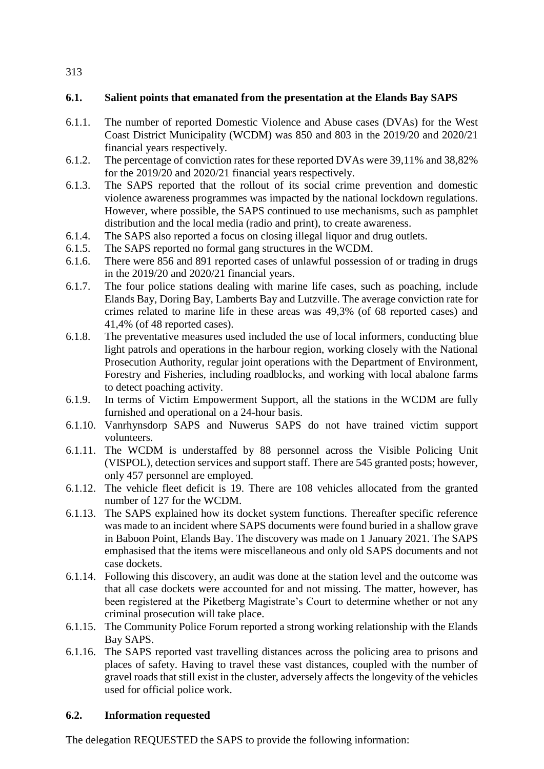### **6.1. Salient points that emanated from the presentation at the Elands Bay SAPS**

- 6.1.1. The number of reported Domestic Violence and Abuse cases (DVAs) for the West Coast District Municipality (WCDM) was 850 and 803 in the 2019/20 and 2020/21 financial years respectively.
- 6.1.2. The percentage of conviction rates for these reported DVAs were 39,11% and 38,82% for the 2019/20 and 2020/21 financial years respectively.
- 6.1.3. The SAPS reported that the rollout of its social crime prevention and domestic violence awareness programmes was impacted by the national lockdown regulations. However, where possible, the SAPS continued to use mechanisms, such as pamphlet distribution and the local media (radio and print), to create awareness.
- 6.1.4. The SAPS also reported a focus on closing illegal liquor and drug outlets.
- 6.1.5. The SAPS reported no formal gang structures in the WCDM.
- 6.1.6. There were 856 and 891 reported cases of unlawful possession of or trading in drugs in the 2019/20 and 2020/21 financial years.
- 6.1.7. The four police stations dealing with marine life cases, such as poaching, include Elands Bay, Doring Bay, Lamberts Bay and Lutzville. The average conviction rate for crimes related to marine life in these areas was 49,3% (of 68 reported cases) and 41,4% (of 48 reported cases).
- 6.1.8. The preventative measures used included the use of local informers, conducting blue light patrols and operations in the harbour region, working closely with the National Prosecution Authority, regular joint operations with the Department of Environment, Forestry and Fisheries, including roadblocks, and working with local abalone farms to detect poaching activity.
- 6.1.9. In terms of Victim Empowerment Support, all the stations in the WCDM are fully furnished and operational on a 24-hour basis.
- 6.1.10. Vanrhynsdorp SAPS and Nuwerus SAPS do not have trained victim support volunteers.
- 6.1.11. The WCDM is understaffed by 88 personnel across the Visible Policing Unit (VISPOL), detection services and support staff. There are 545 granted posts; however, only 457 personnel are employed.
- 6.1.12. The vehicle fleet deficit is 19. There are 108 vehicles allocated from the granted number of 127 for the WCDM.
- 6.1.13. The SAPS explained how its docket system functions. Thereafter specific reference was made to an incident where SAPS documents were found buried in a shallow grave in Baboon Point, Elands Bay. The discovery was made on 1 January 2021. The SAPS emphasised that the items were miscellaneous and only old SAPS documents and not case dockets.
- 6.1.14. Following this discovery, an audit was done at the station level and the outcome was that all case dockets were accounted for and not missing. The matter, however, has been registered at the Piketberg Magistrate's Court to determine whether or not any criminal prosecution will take place.
- 6.1.15. The Community Police Forum reported a strong working relationship with the Elands Bay SAPS.
- 6.1.16. The SAPS reported vast travelling distances across the policing area to prisons and places of safety. Having to travel these vast distances, coupled with the number of gravel roads that still exist in the cluster, adversely affects the longevity of the vehicles used for official police work.

#### **6.2. Information requested**

The delegation REQUESTED the SAPS to provide the following information: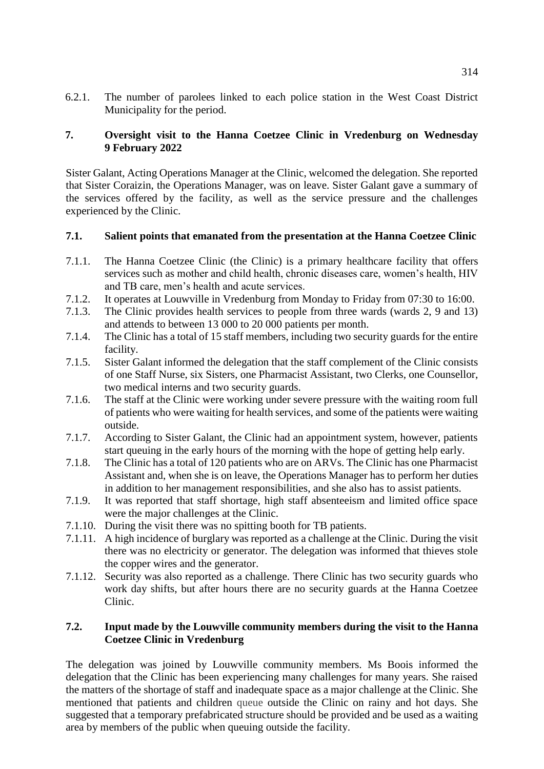6.2.1. The number of parolees linked to each police station in the West Coast District Municipality for the period.

#### **7. Oversight visit to the Hanna Coetzee Clinic in Vredenburg on Wednesday 9 February 2022**

Sister Galant, Acting Operations Manager at the Clinic, welcomed the delegation. She reported that Sister Coraizin, the Operations Manager, was on leave. Sister Galant gave a summary of the services offered by the facility, as well as the service pressure and the challenges experienced by the Clinic.

#### **7.1. Salient points that emanated from the presentation at the Hanna Coetzee Clinic**

- 7.1.1. The Hanna Coetzee Clinic (the Clinic) is a primary healthcare facility that offers services such as mother and child health, chronic diseases care, women's health, HIV and TB care, men's health and acute services.
- 7.1.2. It operates at Louwville in Vredenburg from Monday to Friday from 07:30 to 16:00.<br>7.1.3. The Clinic provides health services to people from three wards (wards 2, 9 and 13)
- The Clinic provides health services to people from three wards (wards 2, 9 and 13) and attends to between 13 000 to 20 000 patients per month.
- 7.1.4. The Clinic has a total of 15 staff members, including two security guards for the entire facility.
- 7.1.5. Sister Galant informed the delegation that the staff complement of the Clinic consists of one Staff Nurse, six Sisters, one Pharmacist Assistant, two Clerks, one Counsellor, two medical interns and two security guards.
- 7.1.6. The staff at the Clinic were working under severe pressure with the waiting room full of patients who were waiting for health services, and some of the patients were waiting outside.
- 7.1.7. According to Sister Galant, the Clinic had an appointment system, however, patients start queuing in the early hours of the morning with the hope of getting help early.
- 7.1.8. The Clinic has a total of 120 patients who are on ARVs. The Clinic has one Pharmacist Assistant and, when she is on leave, the Operations Manager has to perform her duties in addition to her management responsibilities, and she also has to assist patients.
- 7.1.9. It was reported that staff shortage, high staff absenteeism and limited office space were the major challenges at the Clinic.
- 7.1.10. During the visit there was no spitting booth for TB patients.
- 7.1.11. A high incidence of burglary was reported as a challenge at the Clinic. During the visit there was no electricity or generator. The delegation was informed that thieves stole the copper wires and the generator.
- 7.1.12. Security was also reported as a challenge. There Clinic has two security guards who work day shifts, but after hours there are no security guards at the Hanna Coetzee Clinic.

#### **7.2. Input made by the Louwville community members during the visit to the Hanna Coetzee Clinic in Vredenburg**

The delegation was joined by Louwville community members. Ms Boois informed the delegation that the Clinic has been experiencing many challenges for many years. She raised the matters of the shortage of staff and inadequate space as a major challenge at the Clinic. She mentioned that patients and children queue outside the Clinic on rainy and hot days. She suggested that a temporary prefabricated structure should be provided and be used as a waiting area by members of the public when queuing outside the facility.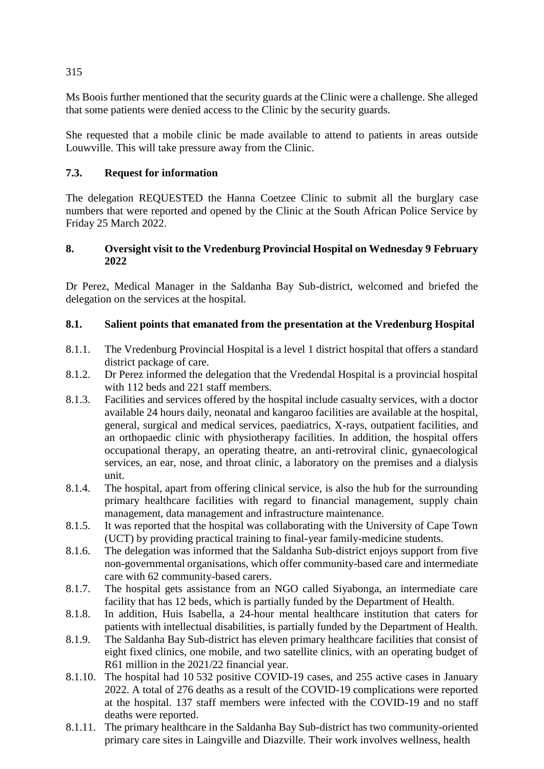Ms Boois further mentioned that the security guards at the Clinic were a challenge. She alleged that some patients were denied access to the Clinic by the security guards.

She requested that a mobile clinic be made available to attend to patients in areas outside Louwville. This will take pressure away from the Clinic.

## **7.3. Request for information**

The delegation REQUESTED the Hanna Coetzee Clinic to submit all the burglary case numbers that were reported and opened by the Clinic at the South African Police Service by Friday 25 March 2022.

## **8. Oversight visit to the Vredenburg Provincial Hospital on Wednesday 9 February 2022**

Dr Perez, Medical Manager in the Saldanha Bay Sub-district, welcomed and briefed the delegation on the services at the hospital.

## **8.1. Salient points that emanated from the presentation at the Vredenburg Hospital**

- 8.1.1. The Vredenburg Provincial Hospital is a level 1 district hospital that offers a standard district package of care.
- 8.1.2. Dr Perez informed the delegation that the Vredendal Hospital is a provincial hospital with 112 beds and 221 staff members.
- 8.1.3. Facilities and services offered by the hospital include casualty services, with a doctor available 24 hours daily, neonatal and kangaroo facilities are available at the hospital, general, surgical and medical services, paediatrics, X-rays, outpatient facilities, and an orthopaedic clinic with physiotherapy facilities. In addition, the hospital offers occupational therapy, an operating theatre, an anti-retroviral clinic, gynaecological services, an ear, nose, and throat clinic, a laboratory on the premises and a dialysis unit.
- 8.1.4. The hospital, apart from offering clinical service, is also the hub for the surrounding primary healthcare facilities with regard to financial management, supply chain management, data management and infrastructure maintenance.
- 8.1.5. It was reported that the hospital was collaborating with the University of Cape Town (UCT) by providing practical training to final-year family-medicine students.
- 8.1.6. The delegation was informed that the Saldanha Sub-district enjoys support from five non-governmental organisations, which offer community-based care and intermediate care with 62 community-based carers.
- 8.1.7. The hospital gets assistance from an NGO called Siyabonga, an intermediate care facility that has 12 beds, which is partially funded by the Department of Health.
- 8.1.8. In addition, Huis Isabella, a 24-hour mental healthcare institution that caters for patients with intellectual disabilities, is partially funded by the Department of Health.
- 8.1.9. The Saldanha Bay Sub-district has eleven primary healthcare facilities that consist of eight fixed clinics, one mobile, and two satellite clinics, with an operating budget of R61 million in the 2021/22 financial year.
- 8.1.10. The hospital had 10 532 positive COVID-19 cases, and 255 active cases in January 2022. A total of 276 deaths as a result of the COVID-19 complications were reported at the hospital. 137 staff members were infected with the COVID-19 and no staff deaths were reported.
- 8.1.11. The primary healthcare in the Saldanha Bay Sub-district has two community-oriented primary care sites in Laingville and Diazville. Their work involves wellness, health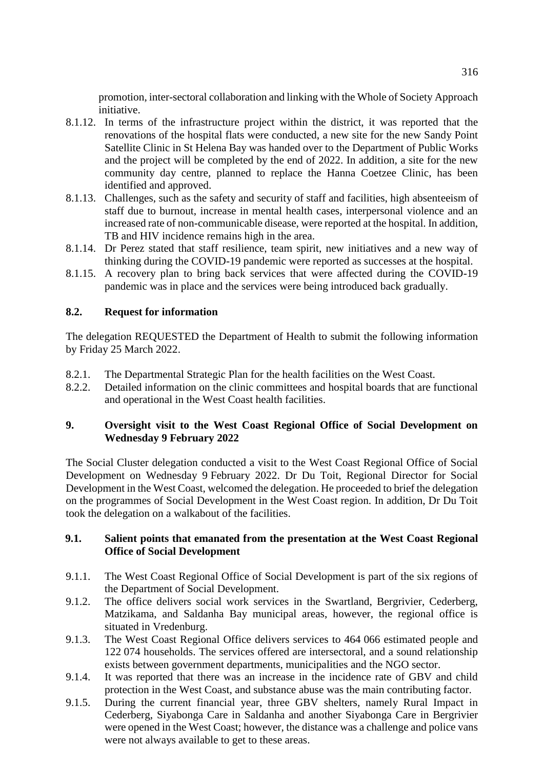promotion, inter-sectoral collaboration and linking with the Whole of Society Approach initiative.

- 8.1.12. In terms of the infrastructure project within the district, it was reported that the renovations of the hospital flats were conducted, a new site for the new Sandy Point Satellite Clinic in St Helena Bay was handed over to the Department of Public Works and the project will be completed by the end of 2022. In addition, a site for the new community day centre, planned to replace the Hanna Coetzee Clinic, has been identified and approved.
- 8.1.13. Challenges, such as the safety and security of staff and facilities, high absenteeism of staff due to burnout, increase in mental health cases, interpersonal violence and an increased rate of non-communicable disease, were reported at the hospital. In addition, TB and HIV incidence remains high in the area.
- 8.1.14. Dr Perez stated that staff resilience, team spirit, new initiatives and a new way of thinking during the COVID-19 pandemic were reported as successes at the hospital.
- 8.1.15. A recovery plan to bring back services that were affected during the COVID-19 pandemic was in place and the services were being introduced back gradually.

#### **8.2. Request for information**

The delegation REQUESTED the Department of Health to submit the following information by Friday 25 March 2022.

- 8.2.1. The Departmental Strategic Plan for the health facilities on the West Coast.
- 8.2.2. Detailed information on the clinic committees and hospital boards that are functional and operational in the West Coast health facilities.

## **9. Oversight visit to the West Coast Regional Office of Social Development on Wednesday 9 February 2022**

The Social Cluster delegation conducted a visit to the West Coast Regional Office of Social Development on Wednesday 9 February 2022. Dr Du Toit, Regional Director for Social Development in the West Coast, welcomed the delegation. He proceeded to brief the delegation on the programmes of Social Development in the West Coast region. In addition, Dr Du Toit took the delegation on a walkabout of the facilities.

#### **9.1. Salient points that emanated from the presentation at the West Coast Regional Office of Social Development**

- 9.1.1. The West Coast Regional Office of Social Development is part of the six regions of the Department of Social Development.
- 9.1.2. The office delivers social work services in the Swartland, Bergrivier, Cederberg, Matzikama, and Saldanha Bay municipal areas, however, the regional office is situated in Vredenburg.
- 9.1.3. The West Coast Regional Office delivers services to 464 066 estimated people and 122 074 households. The services offered are intersectoral, and a sound relationship exists between government departments, municipalities and the NGO sector.
- 9.1.4. It was reported that there was an increase in the incidence rate of GBV and child protection in the West Coast, and substance abuse was the main contributing factor.
- 9.1.5. During the current financial year, three GBV shelters, namely Rural Impact in Cederberg, Siyabonga Care in Saldanha and another Siyabonga Care in Bergrivier were opened in the West Coast; however, the distance was a challenge and police vans were not always available to get to these areas.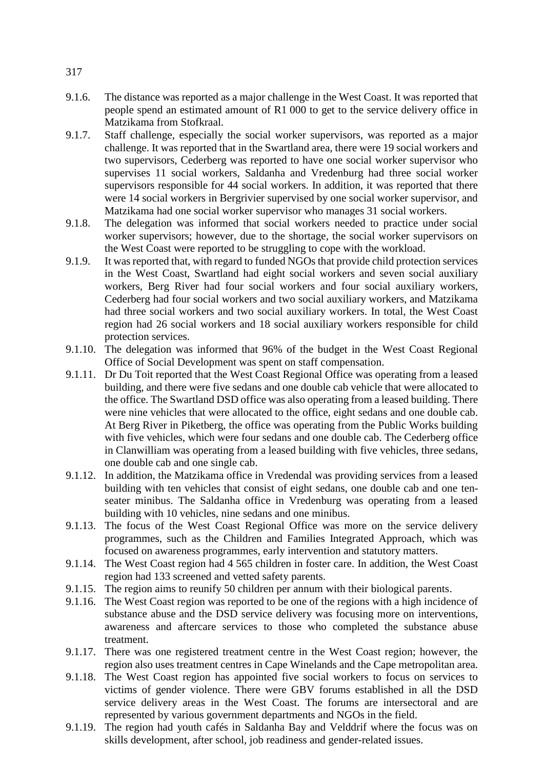- 9.1.6. The distance was reported as a major challenge in the West Coast. It was reported that people spend an estimated amount of R1 000 to get to the service delivery office in Matzikama from Stofkraal.
- 9.1.7. Staff challenge, especially the social worker supervisors, was reported as a major challenge. It was reported that in the Swartland area, there were 19 social workers and two supervisors, Cederberg was reported to have one social worker supervisor who supervises 11 social workers, Saldanha and Vredenburg had three social worker supervisors responsible for 44 social workers. In addition, it was reported that there were 14 social workers in Bergrivier supervised by one social worker supervisor, and Matzikama had one social worker supervisor who manages 31 social workers.
- 9.1.8. The delegation was informed that social workers needed to practice under social worker supervisors; however, due to the shortage, the social worker supervisors on the West Coast were reported to be struggling to cope with the workload.
- 9.1.9. It was reported that, with regard to funded NGOs that provide child protection services in the West Coast, Swartland had eight social workers and seven social auxiliary workers, Berg River had four social workers and four social auxiliary workers, Cederberg had four social workers and two social auxiliary workers, and Matzikama had three social workers and two social auxiliary workers. In total, the West Coast region had 26 social workers and 18 social auxiliary workers responsible for child protection services.
- 9.1.10. The delegation was informed that 96% of the budget in the West Coast Regional Office of Social Development was spent on staff compensation.
- 9.1.11. Dr Du Toit reported that the West Coast Regional Office was operating from a leased building, and there were five sedans and one double cab vehicle that were allocated to the office. The Swartland DSD office was also operating from a leased building. There were nine vehicles that were allocated to the office, eight sedans and one double cab. At Berg River in Piketberg, the office was operating from the Public Works building with five vehicles, which were four sedans and one double cab. The Cederberg office in Clanwilliam was operating from a leased building with five vehicles, three sedans, one double cab and one single cab.
- 9.1.12. In addition, the Matzikama office in Vredendal was providing services from a leased building with ten vehicles that consist of eight sedans, one double cab and one tenseater minibus. The Saldanha office in Vredenburg was operating from a leased building with 10 vehicles, nine sedans and one minibus.
- 9.1.13. The focus of the West Coast Regional Office was more on the service delivery programmes, such as the Children and Families Integrated Approach, which was focused on awareness programmes, early intervention and statutory matters.
- 9.1.14. The West Coast region had 4 565 children in foster care. In addition, the West Coast region had 133 screened and vetted safety parents.
- 9.1.15. The region aims to reunify 50 children per annum with their biological parents.
- 9.1.16. The West Coast region was reported to be one of the regions with a high incidence of substance abuse and the DSD service delivery was focusing more on interventions, awareness and aftercare services to those who completed the substance abuse treatment.
- 9.1.17. There was one registered treatment centre in the West Coast region; however, the region also uses treatment centres in Cape Winelands and the Cape metropolitan area.
- 9.1.18. The West Coast region has appointed five social workers to focus on services to victims of gender violence. There were GBV forums established in all the DSD service delivery areas in the West Coast. The forums are intersectoral and are represented by various government departments and NGOs in the field.
- 9.1.19. The region had youth cafés in Saldanha Bay and Velddrif where the focus was on skills development, after school, job readiness and gender-related issues.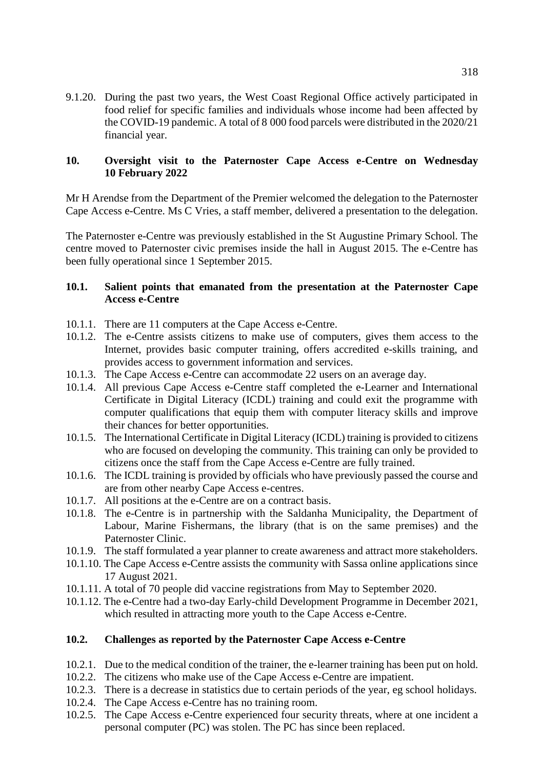9.1.20. During the past two years, the West Coast Regional Office actively participated in food relief for specific families and individuals whose income had been affected by the COVID-19 pandemic. A total of 8 000 food parcels were distributed in the 2020/21 financial year.

#### **10. Oversight visit to the Paternoster Cape Access e-Centre on Wednesday 10 February 2022**

Mr H Arendse from the Department of the Premier welcomed the delegation to the Paternoster Cape Access e-Centre. Ms C Vries, a staff member, delivered a presentation to the delegation.

The Paternoster e-Centre was previously established in the St Augustine Primary School. The centre moved to Paternoster civic premises inside the hall in August 2015. The e-Centre has been fully operational since 1 September 2015.

#### **10.1. Salient points that emanated from the presentation at the Paternoster Cape Access e-Centre**

- 10.1.1. There are 11 computers at the Cape Access e-Centre.
- 10.1.2. The e-Centre assists citizens to make use of computers, gives them access to the Internet, provides basic computer training, offers accredited e-skills training, and provides access to government information and services.
- 10.1.3. The Cape Access e-Centre can accommodate 22 users on an average day.
- 10.1.4. All previous Cape Access e-Centre staff completed the e-Learner and International Certificate in Digital Literacy (ICDL) training and could exit the programme with computer qualifications that equip them with computer literacy skills and improve their chances for better opportunities.
- 10.1.5. The International Certificate in Digital Literacy (ICDL) training is provided to citizens who are focused on developing the community. This training can only be provided to citizens once the staff from the Cape Access e-Centre are fully trained.
- 10.1.6. The ICDL training is provided by officials who have previously passed the course and are from other nearby Cape Access e-centres.
- 10.1.7. All positions at the e-Centre are on a contract basis.
- 10.1.8. The e-Centre is in partnership with the Saldanha Municipality, the Department of Labour, Marine Fishermans, the library (that is on the same premises) and the Paternoster Clinic.
- 10.1.9. The staff formulated a year planner to create awareness and attract more stakeholders.
- 10.1.10. The Cape Access e-Centre assists the community with Sassa online applications since 17 August 2021.
- 10.1.11. A total of 70 people did vaccine registrations from May to September 2020.
- 10.1.12. The e-Centre had a two-day Early-child Development Programme in December 2021, which resulted in attracting more youth to the Cape Access e-Centre.

#### **10.2. Challenges as reported by the Paternoster Cape Access e-Centre**

- 10.2.1. Due to the medical condition of the trainer, the e-learner training has been put on hold.
- 10.2.2. The citizens who make use of the Cape Access e-Centre are impatient.
- 10.2.3. There is a decrease in statistics due to certain periods of the year, eg school holidays.
- 10.2.4. The Cape Access e-Centre has no training room.
- 10.2.5. The Cape Access e-Centre experienced four security threats, where at one incident a personal computer (PC) was stolen. The PC has since been replaced.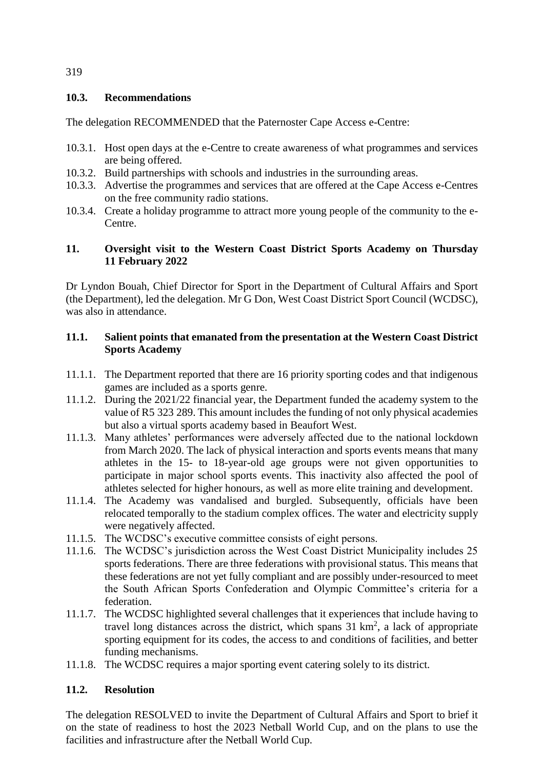#### **10.3. Recommendations**

The delegation RECOMMENDED that the Paternoster Cape Access e-Centre:

- 10.3.1. Host open days at the e-Centre to create awareness of what programmes and services are being offered.
- 10.3.2. Build partnerships with schools and industries in the surrounding areas.
- 10.3.3. Advertise the programmes and services that are offered at the Cape Access e-Centres on the free community radio stations.
- 10.3.4. Create a holiday programme to attract more young people of the community to the e-Centre.

## **11. Oversight visit to the Western Coast District Sports Academy on Thursday 11 February 2022**

Dr Lyndon Bouah, Chief Director for Sport in the Department of Cultural Affairs and Sport (the Department), led the delegation. Mr G Don, West Coast District Sport Council (WCDSC), was also in attendance.

## **11.1. Salient points that emanated from the presentation at the Western Coast District Sports Academy**

- 11.1.1. The Department reported that there are 16 priority sporting codes and that indigenous games are included as a sports genre.
- 11.1.2. During the 2021/22 financial year, the Department funded the academy system to the value of R5 323 289. This amount includes the funding of not only physical academies but also a virtual sports academy based in Beaufort West.
- 11.1.3. Many athletes' performances were adversely affected due to the national lockdown from March 2020. The lack of physical interaction and sports events means that many athletes in the 15- to 18-year-old age groups were not given opportunities to participate in major school sports events. This inactivity also affected the pool of athletes selected for higher honours, as well as more elite training and development.
- 11.1.4. The Academy was vandalised and burgled. Subsequently, officials have been relocated temporally to the stadium complex offices. The water and electricity supply were negatively affected.
- 11.1.5. The WCDSC's executive committee consists of eight persons.
- 11.1.6. The WCDSC's jurisdiction across the West Coast District Municipality includes 25 sports federations. There are three federations with provisional status. This means that these federations are not yet fully compliant and are possibly under-resourced to meet the South African Sports Confederation and Olympic Committee's criteria for a federation.
- 11.1.7. The WCDSC highlighted several challenges that it experiences that include having to travel long distances across the district, which spans  $31 \text{ km}^2$ , a lack of appropriate sporting equipment for its codes, the access to and conditions of facilities, and better funding mechanisms.
- 11.1.8. The WCDSC requires a major sporting event catering solely to its district.

## **11.2. Resolution**

The delegation RESOLVED to invite the Department of Cultural Affairs and Sport to brief it on the state of readiness to host the 2023 Netball World Cup, and on the plans to use the facilities and infrastructure after the Netball World Cup.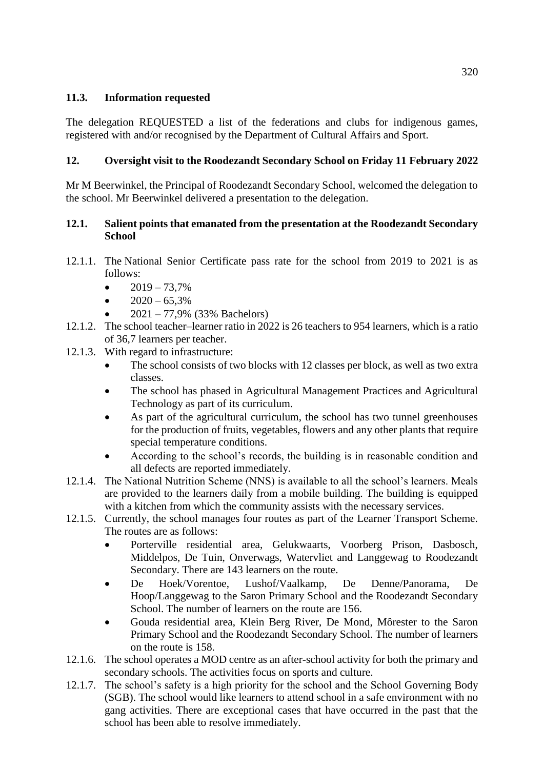## **11.3. Information requested**

The delegation REQUESTED a list of the federations and clubs for indigenous games, registered with and/or recognised by the Department of Cultural Affairs and Sport.

## **12. Oversight visit to the Roodezandt Secondary School on Friday 11 February 2022**

Mr M Beerwinkel, the Principal of Roodezandt Secondary School, welcomed the delegation to the school. Mr Beerwinkel delivered a presentation to the delegation.

## **12.1. Salient points that emanated from the presentation at the Roodezandt Secondary School**

- 12.1.1. The National Senior Certificate pass rate for the school from 2019 to 2021 is as follows:
	- $2019 73,7%$
	- $\bullet$  2020 65,3%
	- 2021 77,9% (33% Bachelors)
- 12.1.2. The school teacher–learner ratio in 2022 is 26 teachers to 954 learners, which is a ratio of 36,7 learners per teacher.
- 12.1.3. With regard to infrastructure:
	- The school consists of two blocks with 12 classes per block, as well as two extra classes.
	- The school has phased in Agricultural Management Practices and Agricultural Technology as part of its curriculum.
	- As part of the agricultural curriculum, the school has two tunnel greenhouses for the production of fruits, vegetables, flowers and any other plants that require special temperature conditions.
	- According to the school's records, the building is in reasonable condition and all defects are reported immediately.
- 12.1.4. The National Nutrition Scheme (NNS) is available to all the school's learners. Meals are provided to the learners daily from a mobile building. The building is equipped with a kitchen from which the community assists with the necessary services.
- 12.1.5. Currently, the school manages four routes as part of the Learner Transport Scheme. The routes are as follows:
	- Porterville residential area, Gelukwaarts, Voorberg Prison, Dasbosch, Middelpos, De Tuin, Onverwags, Watervliet and Langgewag to Roodezandt Secondary. There are 143 learners on the route.
	- De Hoek/Vorentoe, Lushof/Vaalkamp, De Denne/Panorama, De Hoop/Langgewag to the Saron Primary School and the Roodezandt Secondary School. The number of learners on the route are 156.
	- Gouda residential area, Klein Berg River, De Mond, Môrester to the Saron Primary School and the Roodezandt Secondary School. The number of learners on the route is 158.
- 12.1.6. The school operates a MOD centre as an after-school activity for both the primary and secondary schools. The activities focus on sports and culture.
- 12.1.7. The school's safety is a high priority for the school and the School Governing Body (SGB). The school would like learners to attend school in a safe environment with no gang activities. There are exceptional cases that have occurred in the past that the school has been able to resolve immediately.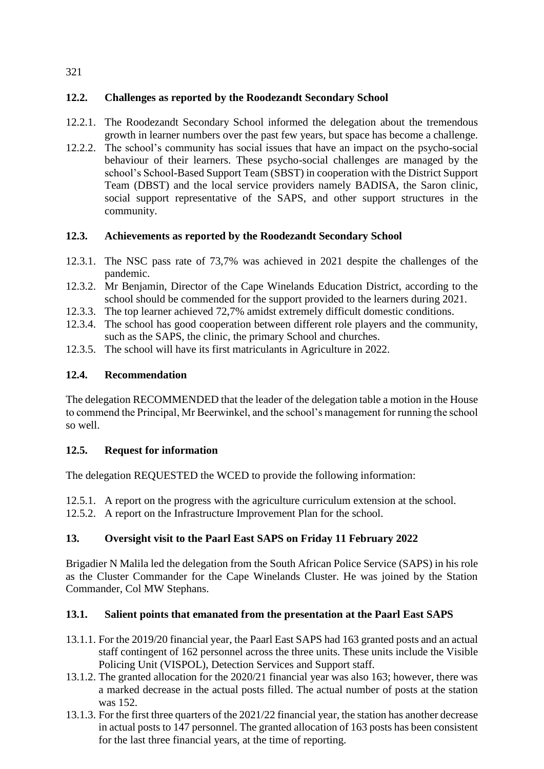## **12.2. Challenges as reported by the Roodezandt Secondary School**

- 12.2.1. The Roodezandt Secondary School informed the delegation about the tremendous growth in learner numbers over the past few years, but space has become a challenge.
- 12.2.2. The school's community has social issues that have an impact on the psycho-social behaviour of their learners. These psycho-social challenges are managed by the school's School-Based Support Team (SBST) in cooperation with the District Support Team (DBST) and the local service providers namely BADISA, the Saron clinic, social support representative of the SAPS, and other support structures in the community.

## **12.3. Achievements as reported by the Roodezandt Secondary School**

- 12.3.1. The NSC pass rate of 73,7% was achieved in 2021 despite the challenges of the pandemic.
- 12.3.2. Mr Benjamin, Director of the Cape Winelands Education District, according to the school should be commended for the support provided to the learners during 2021.
- 12.3.3. The top learner achieved 72,7% amidst extremely difficult domestic conditions.
- 12.3.4. The school has good cooperation between different role players and the community, such as the SAPS, the clinic, the primary School and churches.
- 12.3.5. The school will have its first matriculants in Agriculture in 2022.

## **12.4. Recommendation**

The delegation RECOMMENDED that the leader of the delegation table a motion in the House to commend the Principal, Mr Beerwinkel, and the school's management for running the school so well.

## **12.5. Request for information**

The delegation REQUESTED the WCED to provide the following information:

12.5.1. A report on the progress with the agriculture curriculum extension at the school.

12.5.2. A report on the Infrastructure Improvement Plan for the school.

## **13. Oversight visit to the Paarl East SAPS on Friday 11 February 2022**

Brigadier N Malila led the delegation from the South African Police Service (SAPS) in his role as the Cluster Commander for the Cape Winelands Cluster. He was joined by the Station Commander, Col MW Stephans.

## **13.1. Salient points that emanated from the presentation at the Paarl East SAPS**

- 13.1.1. For the 2019/20 financial year, the Paarl East SAPS had 163 granted posts and an actual staff contingent of 162 personnel across the three units. These units include the Visible Policing Unit (VISPOL), Detection Services and Support staff.
- 13.1.2. The granted allocation for the 2020/21 financial year was also 163; however, there was a marked decrease in the actual posts filled. The actual number of posts at the station was 152.
- 13.1.3. For the first three quarters of the 2021/22 financial year, the station has another decrease in actual posts to 147 personnel. The granted allocation of 163 posts has been consistent for the last three financial years, at the time of reporting.